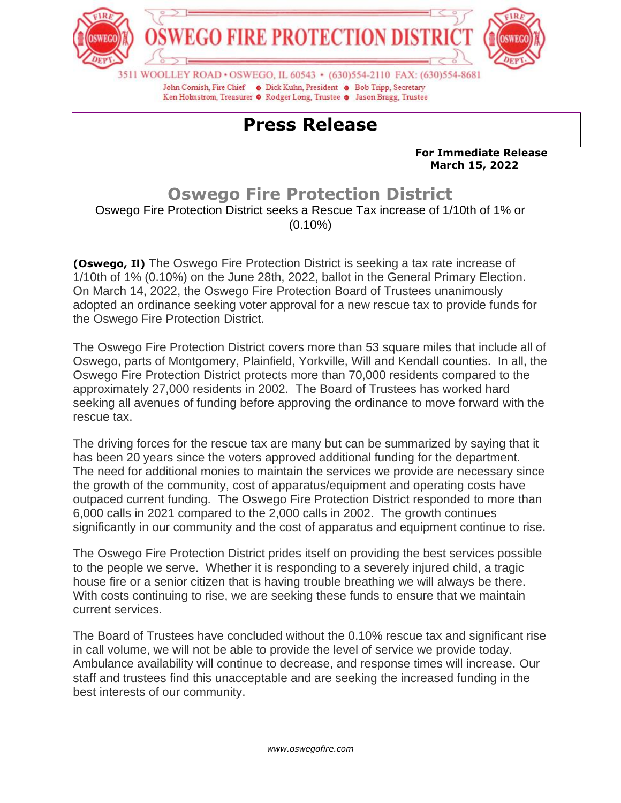

**Press Release**

Ken Holmstrom, Treasurer . Rodger Long, Trustee . Jason Bragg, Trustee

**For Immediate Release March 15, 2022**

## **Oswego Fire Protection District**

Oswego Fire Protection District seeks a Rescue Tax increase of 1/10th of 1% or (0.10%)

**(Oswego, Il)** The Oswego Fire Protection District is seeking a tax rate increase of 1/10th of 1% (0.10%) on the June 28th, 2022, ballot in the General Primary Election. On March 14, 2022, the Oswego Fire Protection Board of Trustees unanimously adopted an ordinance seeking voter approval for a new rescue tax to provide funds for the Oswego Fire Protection District.

The Oswego Fire Protection District covers more than 53 square miles that include all of Oswego, parts of Montgomery, Plainfield, Yorkville, Will and Kendall counties. In all, the Oswego Fire Protection District protects more than 70,000 residents compared to the approximately 27,000 residents in 2002. The Board of Trustees has worked hard seeking all avenues of funding before approving the ordinance to move forward with the rescue tax.

The driving forces for the rescue tax are many but can be summarized by saying that it has been 20 years since the voters approved additional funding for the department. The need for additional monies to maintain the services we provide are necessary since the growth of the community, cost of apparatus/equipment and operating costs have outpaced current funding. The Oswego Fire Protection District responded to more than 6,000 calls in 2021 compared to the 2,000 calls in 2002. The growth continues significantly in our community and the cost of apparatus and equipment continue to rise.

The Oswego Fire Protection District prides itself on providing the best services possible to the people we serve. Whether it is responding to a severely injured child, a tragic house fire or a senior citizen that is having trouble breathing we will always be there. With costs continuing to rise, we are seeking these funds to ensure that we maintain current services.

The Board of Trustees have concluded without the 0.10% rescue tax and significant rise in call volume, we will not be able to provide the level of service we provide today. Ambulance availability will continue to decrease, and response times will increase. Our staff and trustees find this unacceptable and are seeking the increased funding in the best interests of our community.